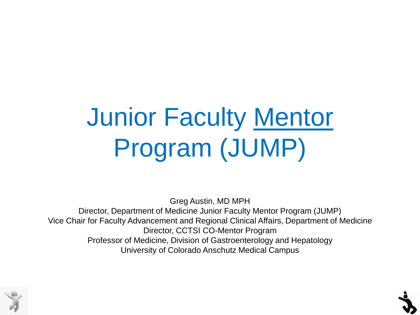# Junior Faculty Mentor Program (JUMP)

Greg Austin, MD MPH Director, Department of Medicine Junior Faculty Mentor Program (JUMP) Vice Chair for Faculty Advancement and Regional Clinical Affairs, Department of Medicine Director, CCTSI CO-Mentor Program Professor of Medicine, Division of Gastroenterology and Hepatology University of Colorado Anschutz Medical Campus

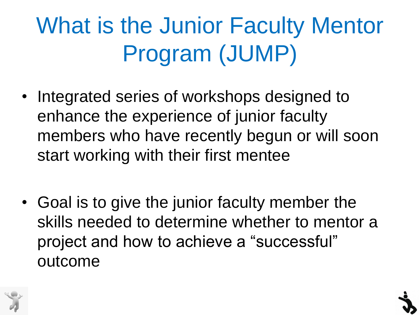#### What is the Junior Faculty Mentor Program (JUMP)

- Integrated series of workshops designed to enhance the experience of junior faculty members who have recently begun or will soon start working with their first mentee
- Goal is to give the junior faculty member the skills needed to determine whether to mentor a project and how to achieve a "successful" outcome

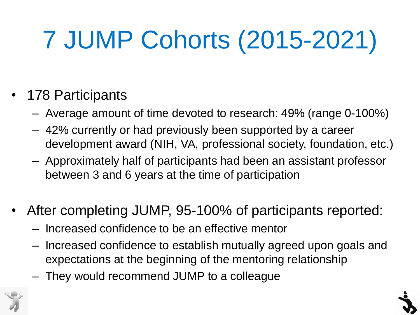# 7 JUMP Cohorts (2015-2021)

#### 178 Participants

- Average amount of time devoted to research: 49% (range 0-100%)
- 42% currently or had previously been supported by a career development award (NIH, VA, professional society, foundation, etc.)
- Approximately half of participants had been an assistant professor between 3 and 6 years at the time of participation
- After completing JUMP, 95-100% of participants reported:
	- Increased confidence to be an effective mentor
	- Increased confidence to establish mutually agreed upon goals and expectations at the beginning of the mentoring relationship
	- They would recommend JUMP to a colleague

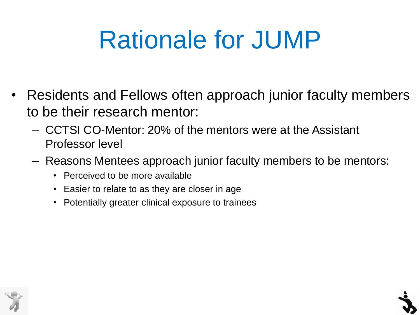#### Rationale for JUMP

- Residents and Fellows often approach junior faculty members to be their research mentor:
	- CCTSI CO-Mentor: 20% of the mentors were at the Assistant Professor level
	- Reasons Mentees approach junior faculty members to be mentors:
		- Perceived to be more available
		- Easier to relate to as they are closer in age
		- Potentially greater clinical exposure to trainees

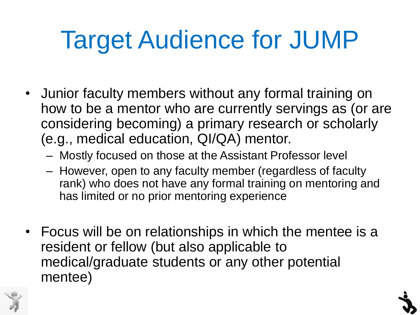## Target Audience for JUMP

- Junior faculty members without any formal training on how to be a mentor who are currently servings as (or are considering becoming) a primary research or scholarly (e.g., medical education, QI/QA) mentor.
	- Mostly focused on those at the Assistant Professor level
	- However, open to any faculty member (regardless of faculty rank) who does not have any formal training on mentoring and has limited or no prior mentoring experience
- Focus will be on relationships in which the mentee is a resident or fellow (but also applicable to medical/graduate students or any other potential mentee)

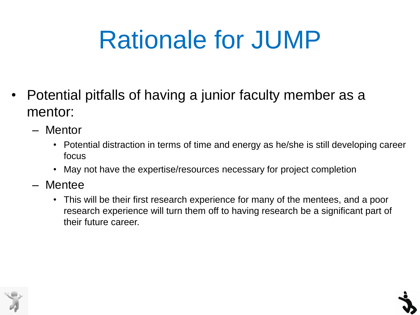#### Rationale for JUMP

- Potential pitfalls of having a junior faculty member as a mentor:
	- Mentor
		- Potential distraction in terms of time and energy as he/she is still developing career focus
		- May not have the expertise/resources necessary for project completion
	- Mentee
		- This will be their first research experience for many of the mentees, and a poor research experience will turn them off to having research be a significant part of their future career.

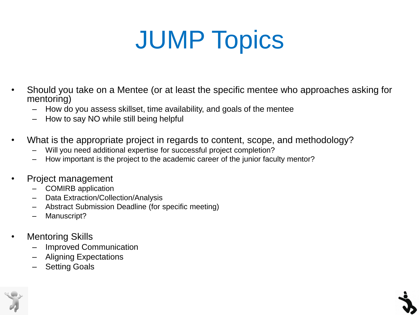## JUMP Topics

- Should you take on a Mentee (or at least the specific mentee who approaches asking for mentoring)
	- How do you assess skillset, time availability, and goals of the mentee
	- How to say NO while still being helpful
- What is the appropriate project in regards to content, scope, and methodology?
	- Will you need additional expertise for successful project completion?
	- How important is the project to the academic career of the junior faculty mentor?
- Project management
	- COMIRB application
	- Data Extraction/Collection/Analysis
	- Abstract Submission Deadline (for specific meeting)
	- Manuscript?
- **Mentoring Skills** 
	- Improved Communication
	- Aligning Expectations
	- **Setting Goals**

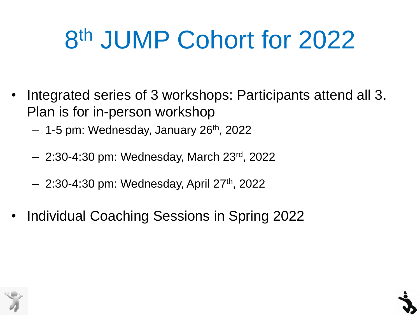## 8 th JUMP Cohort for 2022

- Integrated series of 3 workshops: Participants attend all 3. Plan is for in-person workshop
	- 1-5 pm: Wednesday, January 26<sup>th</sup>, 2022
	- 2:30-4:30 pm: Wednesday, March 23rd , 2022
	- $-$  2:30-4:30 pm: Wednesday, April 27<sup>th</sup>, 2022
- Individual Coaching Sessions in Spring 2022